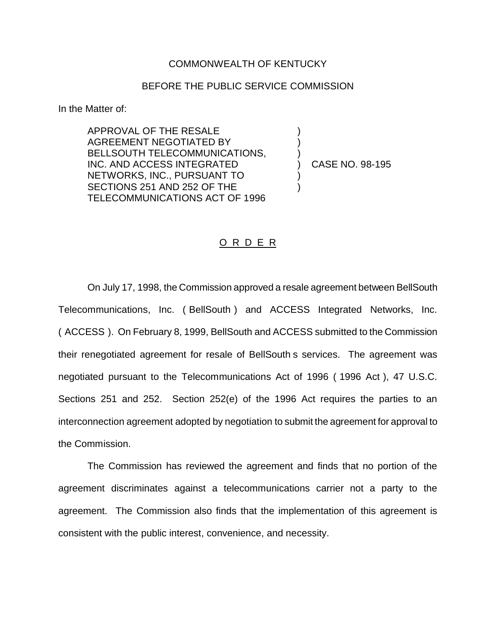## COMMONWEALTH OF KENTUCKY

## BEFORE THE PUBLIC SERVICE COMMISSION

) )

)<br>)

) )

In the Matter of:

APPROVAL OF THE RESALE AGREEMENT NEGOTIATED BY BELLSOUTH TELECOMMUNICATIONS, INC. AND ACCESS INTEGRATED NETWORKS, INC., PURSUANT TO SECTIONS 251 AND 252 OF THE TELECOMMUNICATIONS ACT OF 1996

) CASE NO. 98-195

## O R D E R

On July 17, 1998, the Commission approved a resale agreement between BellSouth Telecommunications, Inc. ( BellSouth ) and ACCESS Integrated Networks, Inc. ( ACCESS ). On February 8, 1999, BellSouth and ACCESS submitted to the Commission their renegotiated agreement for resale of BellSouth s services. The agreement was negotiated pursuant to the Telecommunications Act of 1996 ( 1996 Act ), 47 U.S.C. Sections 251 and 252. Section 252(e) of the 1996 Act requires the parties to an interconnection agreement adopted by negotiation to submit the agreement for approval to the Commission.

The Commission has reviewed the agreement and finds that no portion of the agreement discriminates against a telecommunications carrier not a party to the agreement. The Commission also finds that the implementation of this agreement is consistent with the public interest, convenience, and necessity.